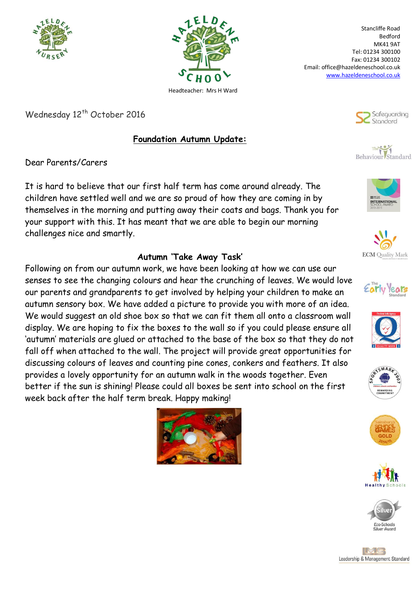



Stancliffe Road Bedford MK41 9AT Tel: 01234 300100 Fax: 01234 300102 Email: office@hazeldeneschool.co.uk [www.hazeldeneschool.co.uk](http://www.hazeldeneschool.co.uk/)

> Safeguarding Stondard





















## MG Leadership & Management Standard

Wednesday 12<sup>th</sup> October 2016

## **Foundation Autumn Update:**

Dear Parents/Carers

It is hard to believe that our first half term has come around already. The children have settled well and we are so proud of how they are coming in by themselves in the morning and putting away their coats and bags. Thank you for your support with this. It has meant that we are able to begin our morning challenges nice and smartly.

## **Autumn 'Take Away Task'**

Following on from our autumn work, we have been looking at how we can use our senses to see the changing colours and hear the crunching of leaves. We would love our parents and grandparents to get involved by helping your children to make an autumn sensory box. We have added a picture to provide you with more of an idea. We would suggest an old shoe box so that we can fit them all onto a classroom wall display. We are hoping to fix the boxes to the wall so if you could please ensure all 'autumn' materials are glued or attached to the base of the box so that they do not fall off when attached to the wall. The project will provide great opportunities for discussing colours of leaves and counting pine cones, conkers and feathers. It also provides a lovely opportunity for an autumn walk in the woods together. Even better if the sun is shining! Please could all boxes be sent into school on the first week back after the half term break. Happy making!